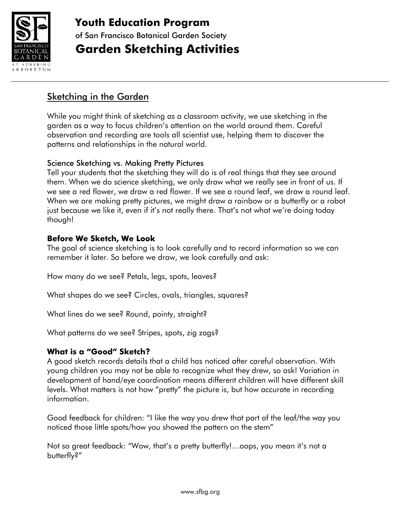

**Youth Education Program** of San Francisco Botanical Garden Society **Garden Sketching Activities**

#### Sketching in the Garden

While you might think of sketching as a classroom activity, we use sketching in the garden as a way to focus children's attention on the world around them. Careful observation and recording are tools all scientist use, helping them to discover the patterns and relationships in the natural world.

#### Science Sketching vs. Making Pretty Pictures

Tell your students that the sketching they will do is of real things that they see around them. When we do science sketching, we only draw what we really see in front of us. If we see a red flower, we draw a red flower. If we see a round leaf, we draw a round leaf. When we are making pretty pictures, we might draw a rainbow or a butterfly or a robot just because we like it, even if it's not really there. That's not what we're doing today though!

#### **Before We Sketch, We Look**

The goal of science sketching is to look carefully and to record information so we can remember it later. So before we draw, we look carefully and ask:

How many do we see? Petals, legs, spots, leaves?

What shapes do we see? Circles, ovals, triangles, squares?

What lines do we see? Round, pointy, straight?

What patterns do we see? Stripes, spots, zig zags?

#### **What is a "Good" Sketch?**

A good sketch records details that a child has noticed after careful observation. With young children you may not be able to recognize what they drew, so ask! Variation in development of hand/eye coordination means different children will have different skill levels. What matters is not how "pretty" the picture is, but how accurate in recording information.

Good feedback for children: "I like the way you drew that part of the leaf/the way you noticed those little spots/how you showed the pattern on the stem"

Not so great feedback: "Wow, that's a pretty butterfly!…oops, you mean it's not a butterfly?"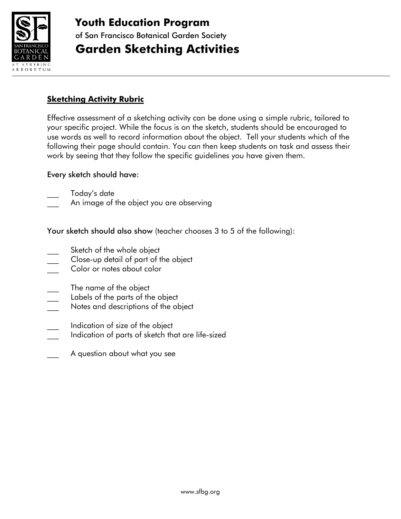

### **Youth Education Program** of San Francisco Botanical Garden Society **Garden Sketching Activities**

#### **Sketching Activity Rubric**

Effective assessment of a sketching activity can be done using a simple rubric, tailored to your specific project. While the focus is on the sketch, students should be encouraged to use words as well to record information about the object. Tell your students which of the following their page should contain. You can then keep students on task and assess their work by seeing that they follow the specific guidelines you have given them.

#### Every sketch should have:

Today's date

An image of the object you are observing

Your sketch should also show (teacher chooses 3 to 5 of the following):

- Sketch of the whole object
- Close-up detail of part of the object
- Color or notes about color
- The name of the object
- 
- \_\_\_ Labels of the parts of the object Notes and descriptions of the object
- Indication of size of the object
- Indication of parts of sketch that are life-sized
- A question about what you see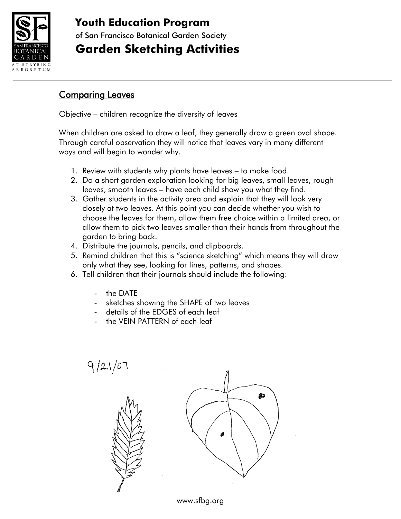

Ξ

# **Youth Education Program**

of San Francisco Botanical Garden Society

## **Garden Sketching Activities**

### Comparing Leaves

Objective – children recognize the diversity of leaves

When children are asked to draw a leaf, they generally draw a green oval shape. Through careful observation they will notice that leaves vary in many different ways and will begin to wonder why.

- 1. Review with students why plants have leaves to make food.
- 2. Do a short garden exploration looking for big leaves, small leaves, rough leaves, smooth leaves – have each child show you what they find.
- 3. Gather students in the activity area and explain that they will look very closely at two leaves. At this point you can decide whether you wish to choose the leaves for them, allow them free choice within a limited area, or allow them to pick two leaves smaller than their hands from throughout the garden to bring back.
- 4. Distribute the journals, pencils, and clipboards.
- 5. Remind children that this is "science sketching" which means they will draw only what they see, looking for lines, patterns, and shapes.
- 6. Tell children that their journals should include the following:
	- the DATE
	- sketches showing the SHAPE of two leaves
	- details of the EDGES of each leaf
	- the VEIN PATTERN of each leaf



www.sfbg.org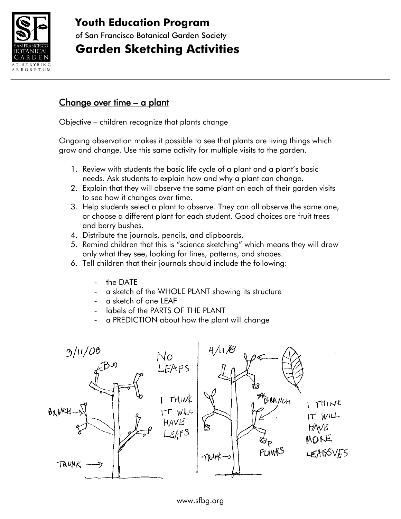

# **Youth Education Program**

of San Francisco Botanical Garden Society

## **Garden Sketching Activities**

### Change over time – a plant

Objective – children recognize that plants change

Ongoing observation makes it possible to see that plants are living things which grow and change. Use this same activity for multiple visits to the garden.

- 1. Review with students the basic life cycle of a plant and a plant's basic needs. Ask students to explain how and why a plant can change.
- 2. Explain that they will observe the same plant on each of their garden visits to see how it changes over time.
- 3. Help students select a plant to observe. They can all observe the same one, or choose a different plant for each student. Good choices are fruit trees and berry bushes.
- 4. Distribute the journals, pencils, and clipboards.
- 5. Remind children that this is "science sketching" which means they will draw only what they see, looking for lines, patterns, and shapes.
- 6. Tell children that their journals should include the following:
	- the DATE
	- a sketch of the WHOLE PLANT showing its structure
	- a sketch of one LEAF
	- labels of the PARTS OF THE PLANT
	- a PREDICTION about how the plant will change

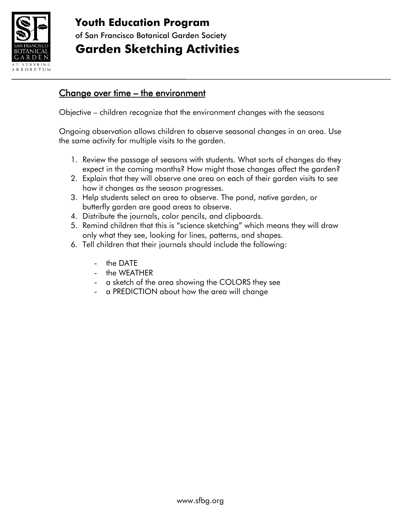

## **Youth Education Program** of San Francisco Botanical Garden Society

## **Garden Sketching Activities**

### Change over time – the environment

Objective – children recognize that the environment changes with the seasons

Ongoing observation allows children to observe seasonal changes in an area. Use the same activity for multiple visits to the garden.

- 1. Review the passage of seasons with students. What sorts of changes do they expect in the coming months? How might those changes affect the garden?
- 2. Explain that they will observe one area on each of their garden visits to see how it changes as the season progresses.
- 3. Help students select an area to observe. The pond, native garden, or butterfly garden are good areas to observe.
- 4. Distribute the journals, color pencils, and clipboards.
- 5. Remind children that this is "science sketching" which means they will draw only what they see, looking for lines, patterns, and shapes.
- 6. Tell children that their journals should include the following:
	- the DATE
	- the WEATHER
	- a sketch of the area showing the COLORS they see
	- a PREDICTION about how the area will change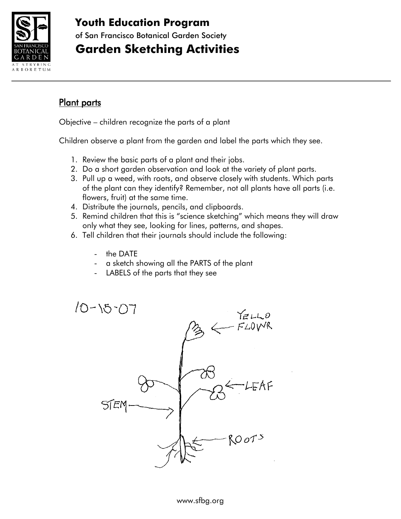

### **Youth Education Program**

of San Francisco Botanical Garden Society

## **Garden Sketching Activities**

#### Plant parts

Objective – children recognize the parts of a plant

Children observe a plant from the garden and label the parts which they see.

- 1. Review the basic parts of a plant and their jobs.
- 2. Do a short garden observation and look at the variety of plant parts.
- 3. Pull up a weed, with roots, and observe closely with students. Which parts of the plant can they identify? Remember, not all plants have all parts (i.e. flowers, fruit) at the same time.
- 4. Distribute the journals, pencils, and clipboards.
- 5. Remind children that this is "science sketching" which means they will draw only what they see, looking for lines, patterns, and shapes.
- 6. Tell children that their journals should include the following:
	- the DATE
	- a sketch showing all the PARTS of the plant
	- LABELS of the parts that they see